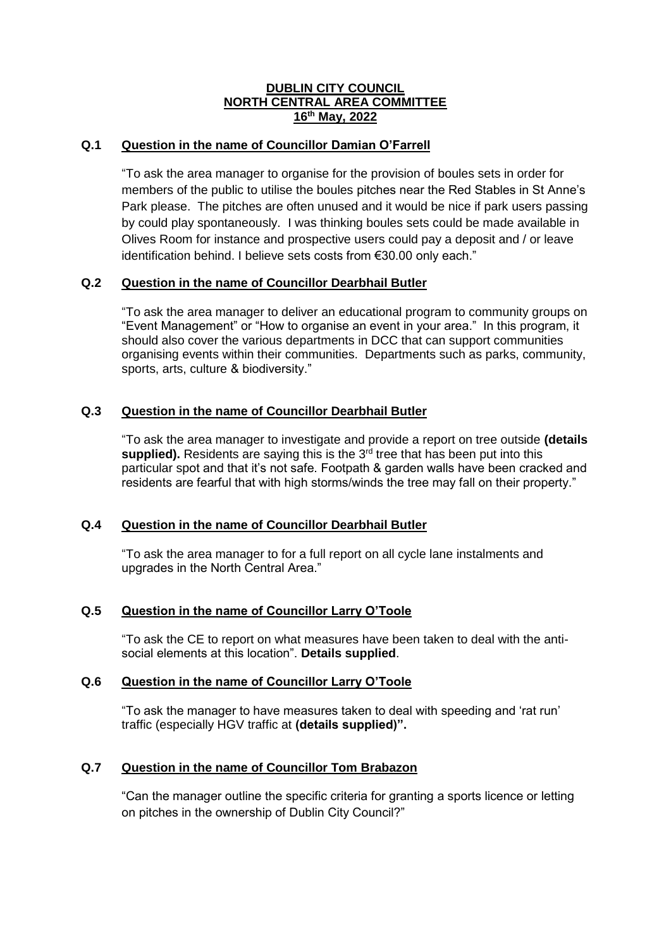## **DUBLIN CITY COUNCIL NORTH CENTRAL AREA COMMITTEE 16th May, 2022**

# **Q.1 Question in the name of Councillor Damian O'Farrell**

"To ask the area manager to organise for the provision of boules sets in order for members of the public to utilise the boules pitches near the Red Stables in St Anne's Park please. The pitches are often unused and it would be nice if park users passing by could play spontaneously. I was thinking boules sets could be made available in Olives Room for instance and prospective users could pay a deposit and / or leave identification behind. I believe sets costs from €30.00 only each."

### **Q.2 Question in the name of Councillor Dearbhail Butler**

"To ask the area manager to deliver an educational program to community groups on "Event Management" or "How to organise an event in your area." In this program, it should also cover the various departments in DCC that can support communities organising events within their communities. Departments such as parks, community, sports, arts, culture & biodiversity."

## **Q.3 Question in the name of Councillor Dearbhail Butler**

"To ask the area manager to investigate and provide a report on tree outside **(details supplied).** Residents are saying this is the  $3<sup>rd</sup>$  tree that has been put into this particular spot and that it's not safe. Footpath & garden walls have been cracked and residents are fearful that with high storms/winds the tree may fall on their property."

### **Q.4 Question in the name of Councillor Dearbhail Butler**

"To ask the area manager to for a full report on all cycle lane instalments and upgrades in the North Central Area."

## **Q.5 Question in the name of Councillor Larry O'Toole**

"To ask the CE to report on what measures have been taken to deal with the antisocial elements at this location". **Details supplied**.

### **Q.6 Question in the name of Councillor Larry O'Toole**

"To ask the manager to have measures taken to deal with speeding and 'rat run' traffic (especially HGV traffic at **(details supplied)".**

### **Q.7 Question in the name of Councillor Tom Brabazon**

"Can the manager outline the specific criteria for granting a sports licence or letting on pitches in the ownership of Dublin City Council?"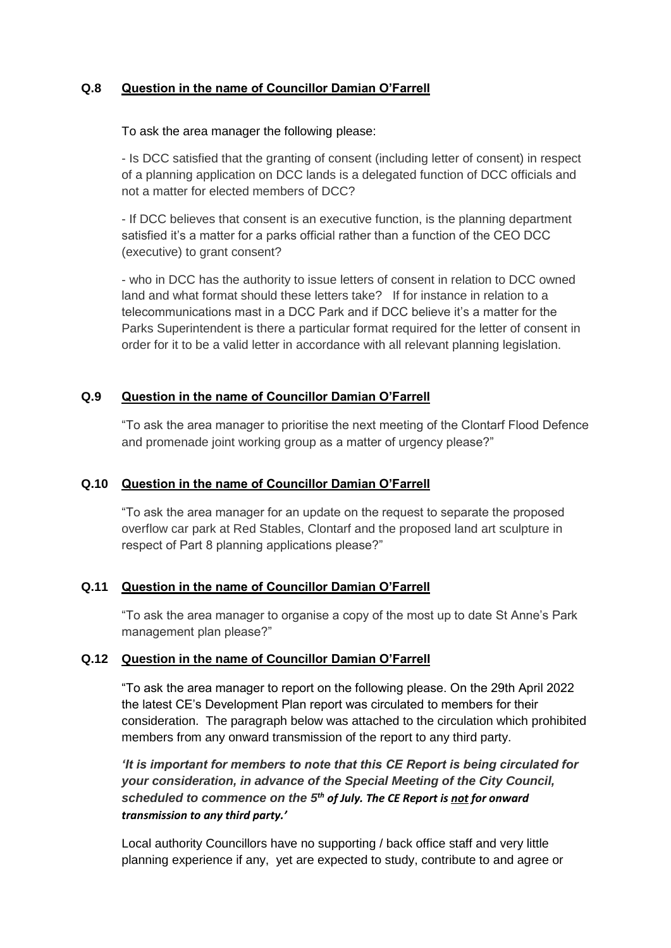# **Q.8 Question in the name of Councillor Damian O'Farrell**

To ask the area manager the following please:

- Is DCC satisfied that the granting of consent (including letter of consent) in respect of a planning application on DCC lands is a delegated function of DCC officials and not a matter for elected members of DCC?

- If DCC believes that consent is an executive function, is the planning department satisfied it's a matter for a parks official rather than a function of the CEO DCC (executive) to grant consent?

- who in DCC has the authority to issue letters of consent in relation to DCC owned land and what format should these letters take? If for instance in relation to a telecommunications mast in a DCC Park and if DCC believe it's a matter for the Parks Superintendent is there a particular format required for the letter of consent in order for it to be a valid letter in accordance with all relevant planning legislation.

## **Q.9 Question in the name of Councillor Damian O'Farrell**

"To ask the area manager to prioritise the next meeting of the Clontarf Flood Defence and promenade joint working group as a matter of urgency please?"

# **Q.10 Question in the name of Councillor Damian O'Farrell**

"To ask the area manager for an update on the request to separate the proposed overflow car park at Red Stables, Clontarf and the proposed land art sculpture in respect of Part 8 planning applications please?"

# **Q.11 Question in the name of Councillor Damian O'Farrell**

"To ask the area manager to organise a copy of the most up to date St Anne's Park management plan please?"

# **Q.12 Question in the name of Councillor Damian O'Farrell**

"To ask the area manager to report on the following please. On the 29th April 2022 the latest CE's Development Plan report was circulated to members for their consideration. The paragraph below was attached to the circulation which prohibited members from any onward transmission of the report to any third party.

# *'It is important for members to note that this CE Report is being circulated for your consideration, in advance of the Special Meeting of the City Council, scheduled to commence on the 5th of July. The CE Report is not for onward transmission to any third party.'*

Local authority Councillors have no supporting / back office staff and very little planning experience if any, yet are expected to study, contribute to and agree or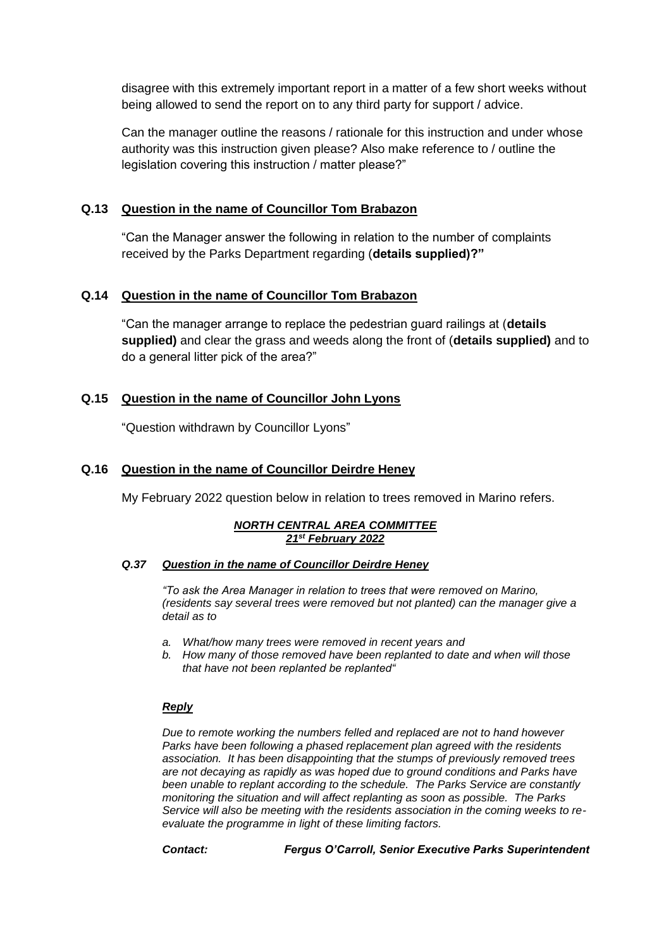disagree with this extremely important report in a matter of a few short weeks without being allowed to send the report on to any third party for support / advice.

Can the manager outline the reasons / rationale for this instruction and under whose authority was this instruction given please? Also make reference to / outline the legislation covering this instruction / matter please?"

## **Q.13 Question in the name of Councillor Tom Brabazon**

"Can the Manager answer the following in relation to the number of complaints received by the Parks Department regarding (**details supplied)?"**

## **Q.14 Question in the name of Councillor Tom Brabazon**

"Can the manager arrange to replace the pedestrian guard railings at (**details supplied)** and clear the grass and weeds along the front of (**details supplied)** and to do a general litter pick of the area?"

## **Q.15 Question in the name of Councillor John Lyons**

"Question withdrawn by Councillor Lyons"

### **Q.16 Question in the name of Councillor Deirdre Heney**

My February 2022 question below in relation to trees removed in Marino refers.

#### *NORTH CENTRAL AREA COMMITTEE 21st February 2022*

#### *Q.37 Question in the name of Councillor Deirdre Heney*

*"To ask the Area Manager in relation to trees that were removed on Marino, (residents say several trees were removed but not planted) can the manager give a detail as to*

- *a. What/how many trees were removed in recent years and*
- *b. How many of those removed have been replanted to date and when will those that have not been replanted be replanted"*

#### *Reply*

*Due to remote working the numbers felled and replaced are not to hand however Parks have been following a phased replacement plan agreed with the residents association. It has been disappointing that the stumps of previously removed trees are not decaying as rapidly as was hoped due to ground conditions and Parks have been unable to replant according to the schedule. The Parks Service are constantly monitoring the situation and will affect replanting as soon as possible. The Parks Service will also be meeting with the residents association in the coming weeks to reevaluate the programme in light of these limiting factors.*

*Contact: Fergus O'Carroll, Senior Executive Parks Superintendent*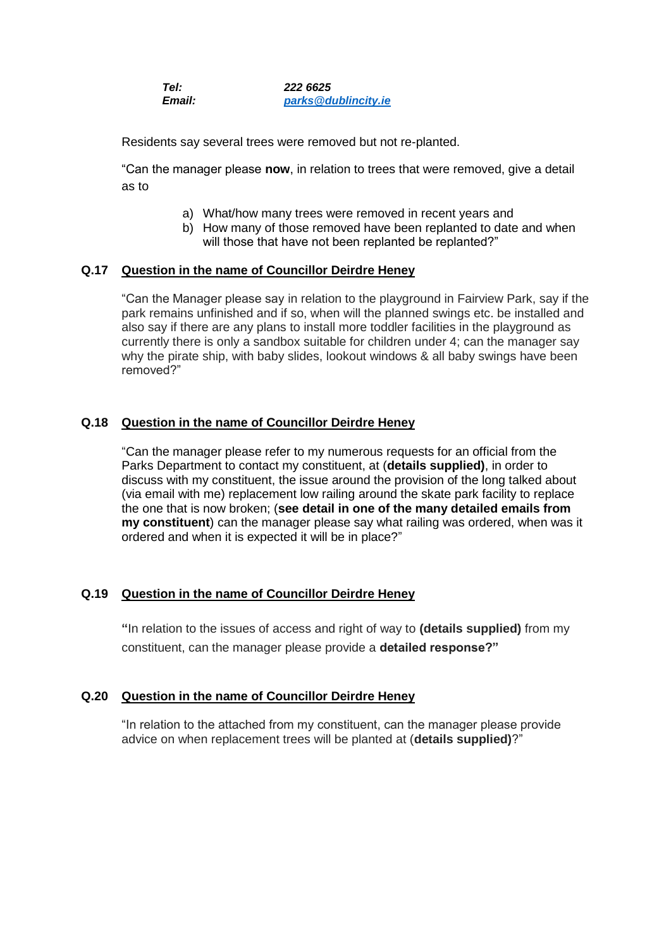| Tel:   | 222 6625            |
|--------|---------------------|
| Email: | parks@dublincity.ie |

Residents say several trees were removed but not re-planted.

"Can the manager please **now**, in relation to trees that were removed, give a detail as to

- a) What/how many trees were removed in recent years and
- b) How many of those removed have been replanted to date and when will those that have not been replanted be replanted?"

### **Q.17 Question in the name of Councillor Deirdre Heney**

"Can the Manager please say in relation to the playground in Fairview Park, say if the park remains unfinished and if so, when will the planned swings etc. be installed and also say if there are any plans to install more toddler facilities in the playground as currently there is only a sandbox suitable for children under 4; can the manager say why the pirate ship, with baby slides, lookout windows & all baby swings have been removed?"

## **Q.18 Question in the name of Councillor Deirdre Heney**

"Can the manager please refer to my numerous requests for an official from the Parks Department to contact my constituent, at (**details supplied)**, in order to discuss with my constituent, the issue around the provision of the long talked about (via email with me) replacement low railing around the skate park facility to replace the one that is now broken; (**see detail in one of the many detailed emails from my constituent**) can the manager please say what railing was ordered, when was it ordered and when it is expected it will be in place?"

### **Q.19 Question in the name of Councillor Deirdre Heney**

**"**In relation to the issues of access and right of way to **(details supplied)** from my constituent, can the manager please provide a **detailed response?"**

### **Q.20 Question in the name of Councillor Deirdre Heney**

"In relation to the attached from my constituent, can the manager please provide advice on when replacement trees will be planted at (**details supplied)**?"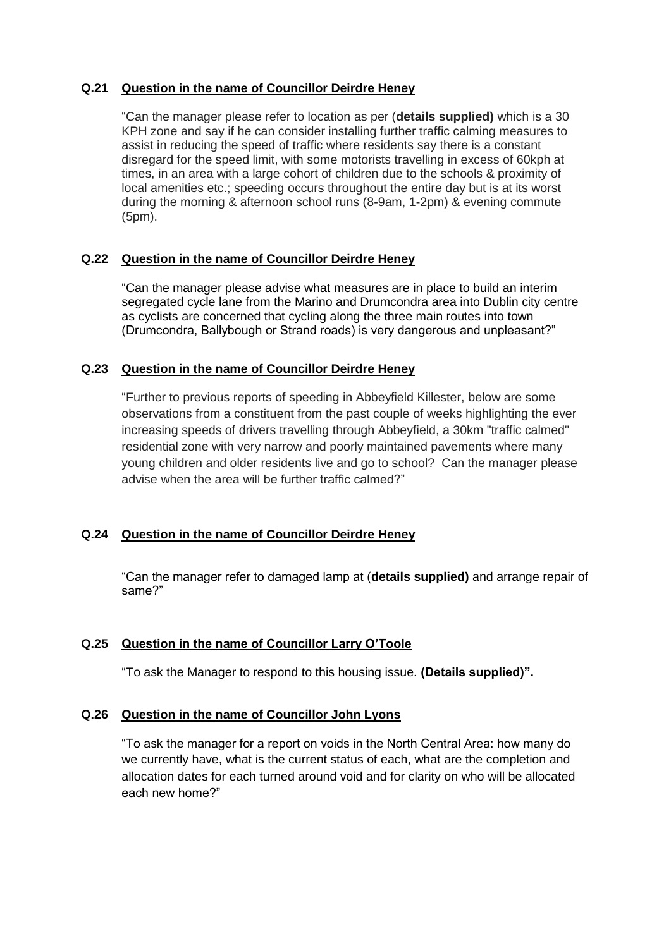# **Q.21 Question in the name of Councillor Deirdre Heney**

"Can the manager please refer to location as per (**details supplied)** which is a 30 KPH zone and say if he can consider installing further traffic calming measures to assist in reducing the speed of traffic where residents say there is a constant disregard for the speed limit, with some motorists travelling in excess of 60kph at times, in an area with a large cohort of children due to the schools & proximity of local amenities etc.; speeding occurs throughout the entire day but is at its worst during the morning & afternoon school runs (8-9am, 1-2pm) & evening commute (5pm).

## **Q.22 Question in the name of Councillor Deirdre Heney**

"Can the manager please advise what measures are in place to build an interim segregated cycle lane from the Marino and Drumcondra area into Dublin city centre as cyclists are concerned that cycling along the three main routes into town (Drumcondra, Ballybough or Strand roads) is very dangerous and unpleasant?"

## **Q.23 Question in the name of Councillor Deirdre Heney**

"Further to previous reports of speeding in Abbeyfield Killester, below are some observations from a constituent from the past couple of weeks highlighting the ever increasing speeds of drivers travelling through Abbeyfield, a 30km "traffic calmed" residential zone with very narrow and poorly maintained pavements where many young children and older residents live and go to school? Can the manager please advise when the area will be further traffic calmed?"

# **Q.24 Question in the name of Councillor Deirdre Heney**

"Can the manager refer to damaged lamp at (**details supplied)** and arrange repair of same?"

# **Q.25 Question in the name of Councillor Larry O'Toole**

"To ask the Manager to respond to this housing issue. **(Details supplied)".**

### **Q.26 Question in the name of Councillor John Lyons**

"To ask the manager for a report on voids in the North Central Area: how many do we currently have, what is the current status of each, what are the completion and allocation dates for each turned around void and for clarity on who will be allocated each new home?"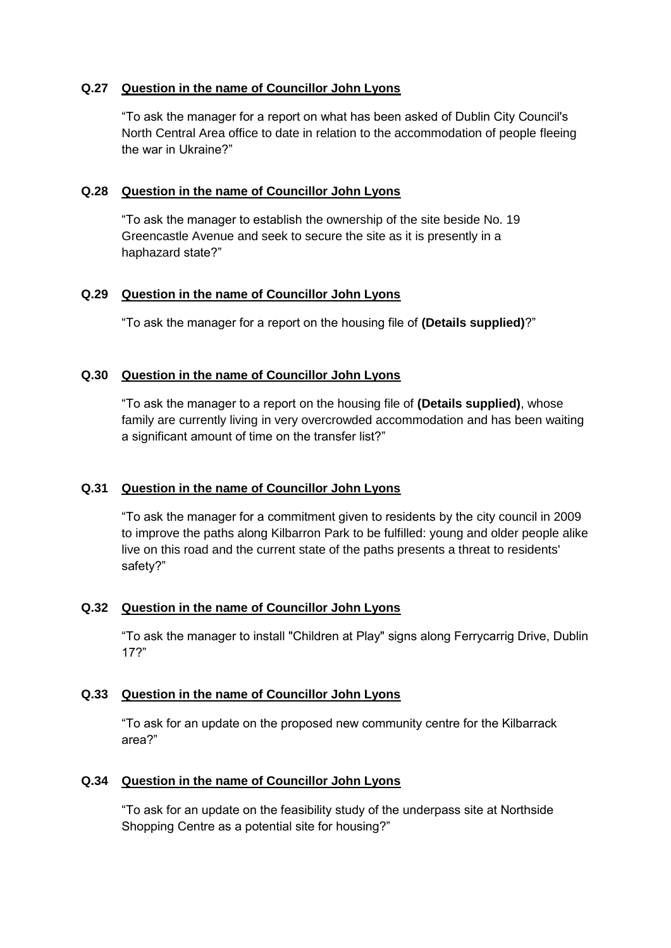## **Q.27 Question in the name of Councillor John Lyons**

"To ask the manager for a report on what has been asked of Dublin City Council's North Central Area office to date in relation to the accommodation of people fleeing the war in Ukraine?"

## **Q.28 Question in the name of Councillor John Lyons**

"To ask the manager to establish the ownership of the site beside No. 19 Greencastle Avenue and seek to secure the site as it is presently in a haphazard state?"

## **Q.29 Question in the name of Councillor John Lyons**

"To ask the manager for a report on the housing file of **(Details supplied)**?"

## **Q.30 Question in the name of Councillor John Lyons**

"To ask the manager to a report on the housing file of **(Details supplied)**, whose family are currently living in very overcrowded accommodation and has been waiting a significant amount of time on the transfer list?"

# **Q.31 Question in the name of Councillor John Lyons**

"To ask the manager for a commitment given to residents by the city council in 2009 to improve the paths along Kilbarron Park to be fulfilled: young and older people alike live on this road and the current state of the paths presents a threat to residents' safety?"

# **Q.32 Question in the name of Councillor John Lyons**

"To ask the manager to install "Children at Play" signs along Ferrycarrig Drive, Dublin 17?"

### **Q.33 Question in the name of Councillor John Lyons**

"To ask for an update on the proposed new community centre for the Kilbarrack area?"

### **Q.34 Question in the name of Councillor John Lyons**

"To ask for an update on the feasibility study of the underpass site at Northside Shopping Centre as a potential site for housing?"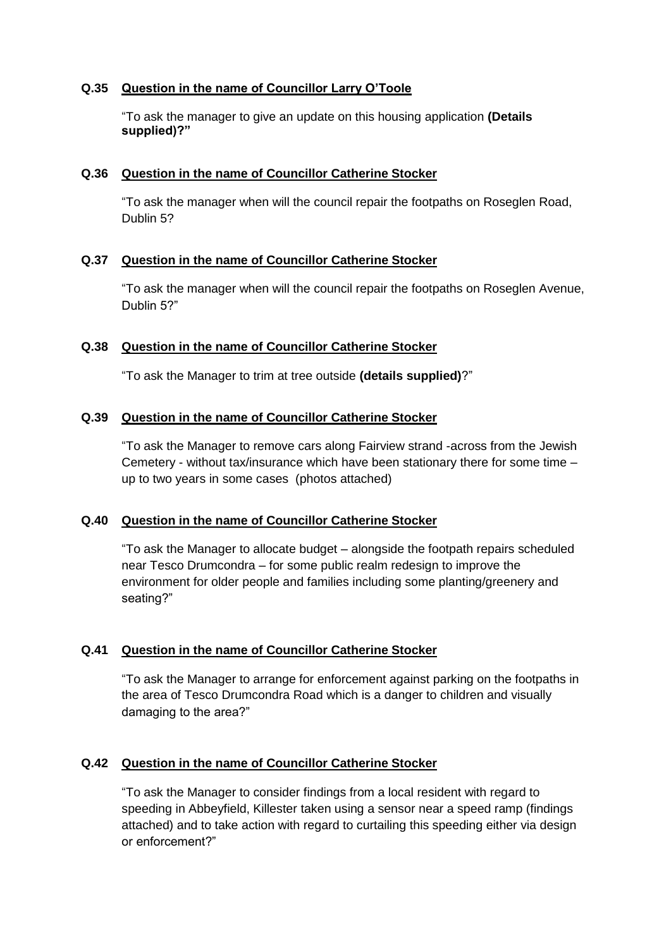## **Q.35 Question in the name of Councillor Larry O'Toole**

"To ask the manager to give an update on this housing application **(Details supplied)?"**

### **Q.36 Question in the name of Councillor Catherine Stocker**

"To ask the manager when will the council repair the footpaths on Roseglen Road, Dublin 5?

## **Q.37 Question in the name of Councillor Catherine Stocker**

"To ask the manager when will the council repair the footpaths on Roseglen Avenue, Dublin 5?"

### **Q.38 Question in the name of Councillor Catherine Stocker**

"To ask the Manager to trim at tree outside **(details supplied)**?"

## **Q.39 Question in the name of Councillor Catherine Stocker**

"To ask the Manager to remove cars along Fairview strand -across from the Jewish Cemetery - without tax/insurance which have been stationary there for some time – up to two years in some cases (photos attached)

### **Q.40 Question in the name of Councillor Catherine Stocker**

"To ask the Manager to allocate budget – alongside the footpath repairs scheduled near Tesco Drumcondra – for some public realm redesign to improve the environment for older people and families including some planting/greenery and seating?"

# **Q.41 Question in the name of Councillor Catherine Stocker**

"To ask the Manager to arrange for enforcement against parking on the footpaths in the area of Tesco Drumcondra Road which is a danger to children and visually damaging to the area?"

# **Q.42 Question in the name of Councillor Catherine Stocker**

"To ask the Manager to consider findings from a local resident with regard to speeding in Abbeyfield, Killester taken using a sensor near a speed ramp (findings attached) and to take action with regard to curtailing this speeding either via design or enforcement?"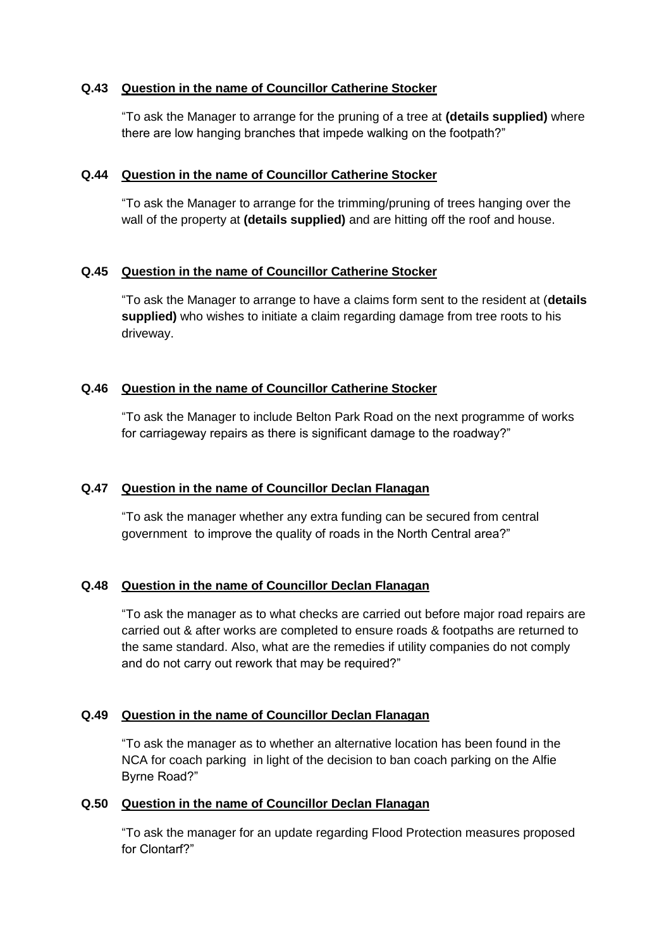## **Q.43 Question in the name of Councillor Catherine Stocker**

"To ask the Manager to arrange for the pruning of a tree at **(details supplied)** where there are low hanging branches that impede walking on the footpath?"

## **Q.44 Question in the name of Councillor Catherine Stocker**

"To ask the Manager to arrange for the trimming/pruning of trees hanging over the wall of the property at **(details supplied)** and are hitting off the roof and house.

## **Q.45 Question in the name of Councillor Catherine Stocker**

"To ask the Manager to arrange to have a claims form sent to the resident at (**details supplied)** who wishes to initiate a claim regarding damage from tree roots to his driveway.

# **Q.46 Question in the name of Councillor Catherine Stocker**

"To ask the Manager to include Belton Park Road on the next programme of works for carriageway repairs as there is significant damage to the roadway?"

# **Q.47 Question in the name of Councillor Declan Flanagan**

"To ask the manager whether any extra funding can be secured from central government to improve the quality of roads in the North Central area?"

# **Q.48 Question in the name of Councillor Declan Flanagan**

"To ask the manager as to what checks are carried out before major road repairs are carried out & after works are completed to ensure roads & footpaths are returned to the same standard. Also, what are the remedies if utility companies do not comply and do not carry out rework that may be required?"

# **Q.49 Question in the name of Councillor Declan Flanagan**

"To ask the manager as to whether an alternative location has been found in the NCA for coach parking in light of the decision to ban coach parking on the Alfie Byrne Road?"

### **Q.50 Question in the name of Councillor Declan Flanagan**

"To ask the manager for an update regarding Flood Protection measures proposed for Clontarf?"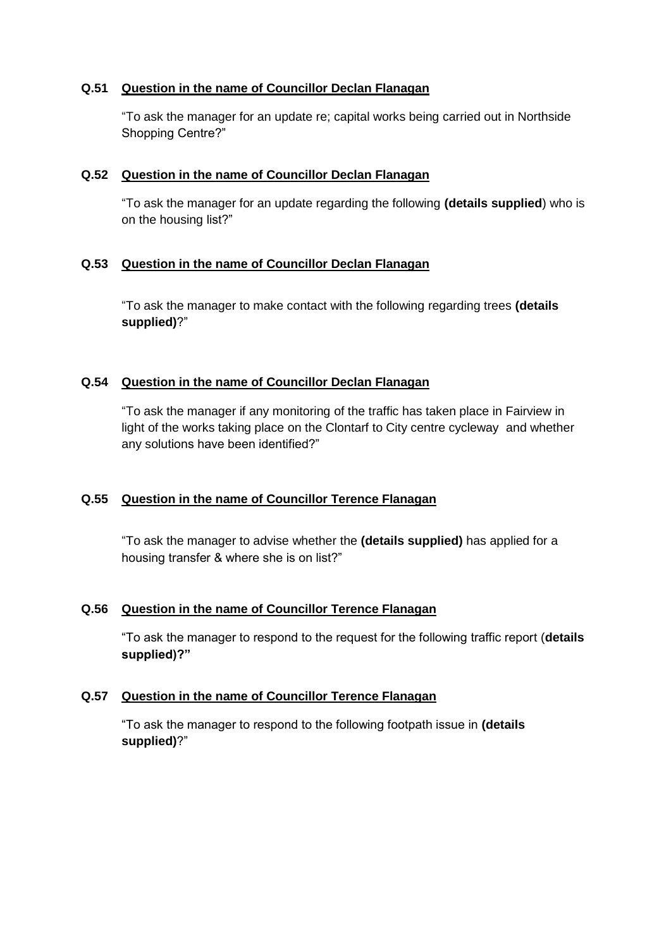## **Q.51 Question in the name of Councillor Declan Flanagan**

"To ask the manager for an update re; capital works being carried out in Northside Shopping Centre?"

## **Q.52 Question in the name of Councillor Declan Flanagan**

"To ask the manager for an update regarding the following **(details supplied**) who is on the housing list?"

## **Q.53 Question in the name of Councillor Declan Flanagan**

"To ask the manager to make contact with the following regarding trees **(details supplied)**?"

## **Q.54 Question in the name of Councillor Declan Flanagan**

"To ask the manager if any monitoring of the traffic has taken place in Fairview in light of the works taking place on the Clontarf to City centre cycleway and whether any solutions have been identified?"

# **Q.55 Question in the name of Councillor Terence Flanagan**

"To ask the manager to advise whether the **(details supplied)** has applied for a housing transfer & where she is on list?"

# **Q.56 Question in the name of Councillor Terence Flanagan**

"To ask the manager to respond to the request for the following traffic report (**details supplied)?"**

### **Q.57 Question in the name of Councillor Terence Flanagan**

"To ask the manager to respond to the following footpath issue in **(details supplied)**?"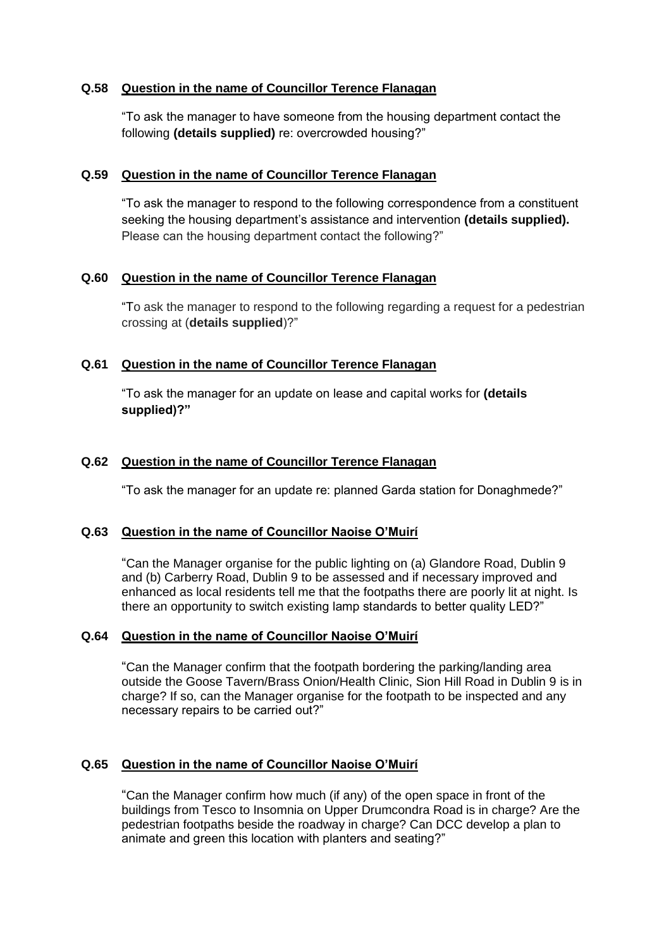## **Q.58 Question in the name of Councillor Terence Flanagan**

"To ask the manager to have someone from the housing department contact the following **(details supplied)** re: overcrowded housing?"

### **Q.59 Question in the name of Councillor Terence Flanagan**

"To ask the manager to respond to the following correspondence from a constituent seeking the housing department's assistance and intervention **(details supplied).**  Please can the housing department contact the following?"

## **Q.60 Question in the name of Councillor Terence Flanagan**

"To ask the manager to respond to the following regarding a request for a pedestrian crossing at (**details supplied**)?"

## **Q.61 Question in the name of Councillor Terence Flanagan**

"To ask the manager for an update on lease and capital works for **(details supplied)?"**

## **Q.62 Question in the name of Councillor Terence Flanagan**

"To ask the manager for an update re: planned Garda station for Donaghmede?"

### **Q.63 Question in the name of Councillor Naoise O'Muirí**

"Can the Manager organise for the public lighting on (a) Glandore Road, Dublin 9 and (b) Carberry Road, Dublin 9 to be assessed and if necessary improved and enhanced as local residents tell me that the footpaths there are poorly lit at night. Is there an opportunity to switch existing lamp standards to better quality LED?"

### **Q.64 Question in the name of Councillor Naoise O'Muirí**

"Can the Manager confirm that the footpath bordering the parking/landing area outside the Goose Tavern/Brass Onion/Health Clinic, Sion Hill Road in Dublin 9 is in charge? If so, can the Manager organise for the footpath to be inspected and any necessary repairs to be carried out?"

# **Q.65 Question in the name of Councillor Naoise O'Muirí**

"Can the Manager confirm how much (if any) of the open space in front of the buildings from Tesco to Insomnia on Upper Drumcondra Road is in charge? Are the pedestrian footpaths beside the roadway in charge? Can DCC develop a plan to animate and green this location with planters and seating?"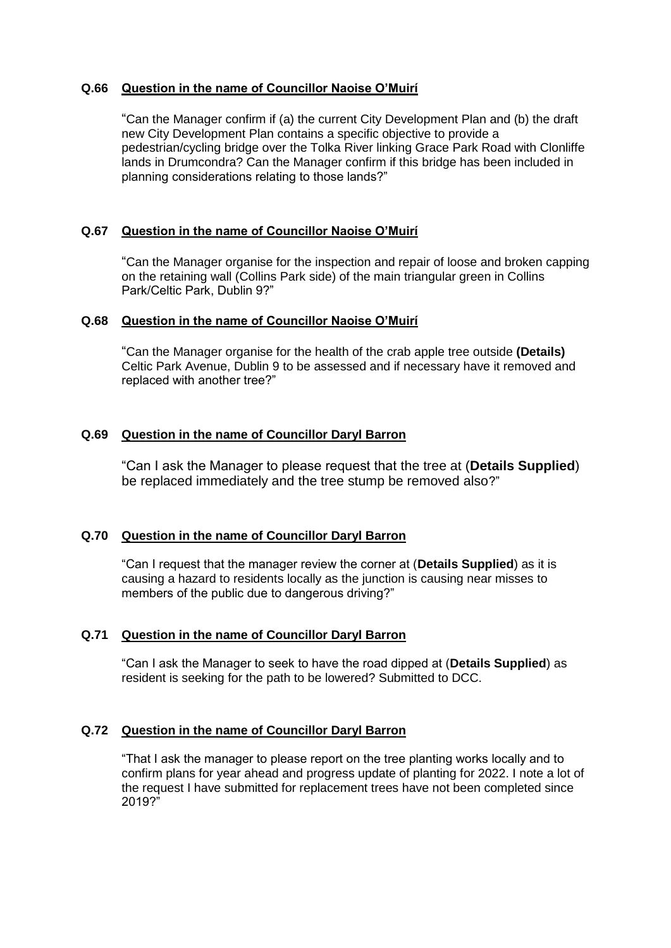## **Q.66 Question in the name of Councillor Naoise O'Muirí**

"Can the Manager confirm if (a) the current City Development Plan and (b) the draft new City Development Plan contains a specific objective to provide a pedestrian/cycling bridge over the Tolka River linking Grace Park Road with Clonliffe lands in Drumcondra? Can the Manager confirm if this bridge has been included in planning considerations relating to those lands?"

## **Q.67 Question in the name of Councillor Naoise O'Muirí**

"Can the Manager organise for the inspection and repair of loose and broken capping on the retaining wall (Collins Park side) of the main triangular green in Collins Park/Celtic Park, Dublin 9?"

### **Q.68 Question in the name of Councillor Naoise O'Muirí**

"Can the Manager organise for the health of the crab apple tree outside **(Details)** Celtic Park Avenue, Dublin 9 to be assessed and if necessary have it removed and replaced with another tree?"

### **Q.69 Question in the name of Councillor Daryl Barron**

"Can I ask the Manager to please request that the tree at (**Details Supplied**) be replaced immediately and the tree stump be removed also?"

## **Q.70 Question in the name of Councillor Daryl Barron**

"Can I request that the manager review the corner at (**Details Supplied**) as it is causing a hazard to residents locally as the junction is causing near misses to members of the public due to dangerous driving?"

### **Q.71 Question in the name of Councillor Daryl Barron**

"Can I ask the Manager to seek to have the road dipped at (**Details Supplied**) as resident is seeking for the path to be lowered? Submitted to DCC.

### **Q.72 Question in the name of Councillor Daryl Barron**

"That I ask the manager to please report on the tree planting works locally and to confirm plans for year ahead and progress update of planting for 2022. I note a lot of the request I have submitted for replacement trees have not been completed since 2019?"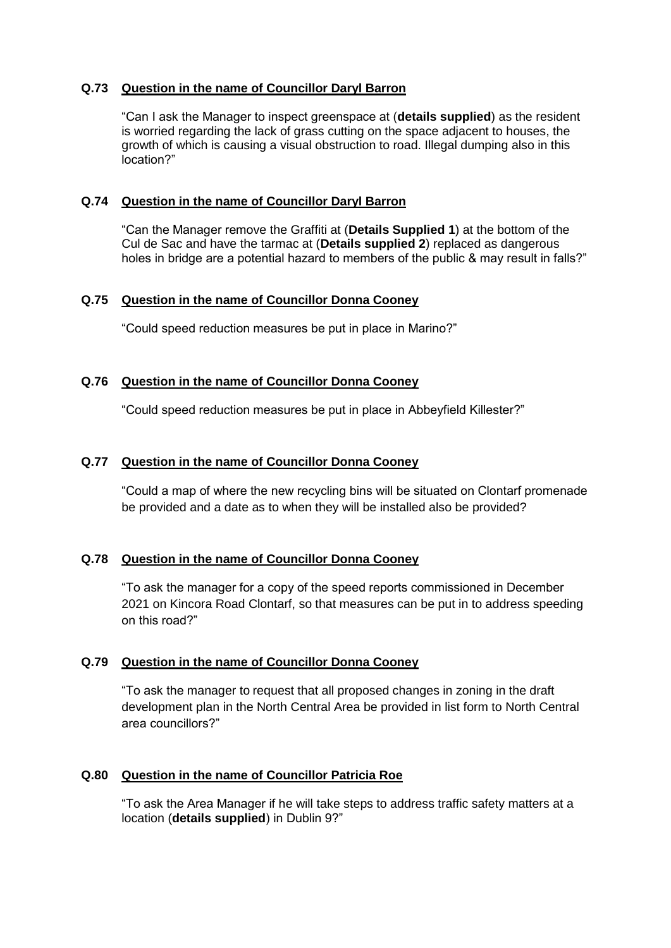## **Q.73 Question in the name of Councillor Daryl Barron**

"Can I ask the Manager to inspect greenspace at (**details supplied**) as the resident is worried regarding the lack of grass cutting on the space adjacent to houses, the growth of which is causing a visual obstruction to road. Illegal dumping also in this location?"

### **Q.74 Question in the name of Councillor Daryl Barron**

"Can the Manager remove the Graffiti at (**Details Supplied 1**) at the bottom of the Cul de Sac and have the tarmac at (**Details supplied 2**) replaced as dangerous holes in bridge are a potential hazard to members of the public & may result in falls?"

### **Q.75 Question in the name of Councillor Donna Cooney**

"Could speed reduction measures be put in place in Marino?"

## **Q.76 Question in the name of Councillor Donna Cooney**

"Could speed reduction measures be put in place in Abbeyfield Killester?"

## **Q.77 Question in the name of Councillor Donna Cooney**

"Could a map of where the new recycling bins will be situated on Clontarf promenade be provided and a date as to when they will be installed also be provided?

### **Q.78 Question in the name of Councillor Donna Cooney**

"To ask the manager for a copy of the speed reports commissioned in December 2021 on Kincora Road Clontarf, so that measures can be put in to address speeding on this road?"

### **Q.79 Question in the name of Councillor Donna Cooney**

"To ask the manager to request that all proposed changes in zoning in the draft development plan in the North Central Area be provided in list form to North Central area councillors?"

### **Q.80 Question in the name of Councillor Patricia Roe**

"To ask the Area Manager if he will take steps to address traffic safety matters at a location (**details supplied**) in Dublin 9?"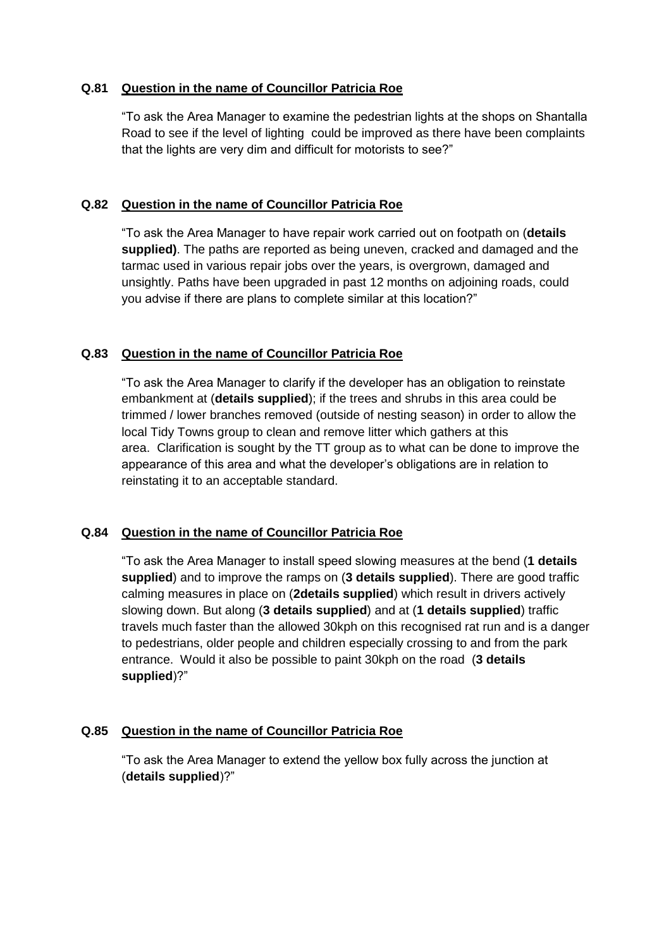## **Q.81 Question in the name of Councillor Patricia Roe**

"To ask the Area Manager to examine the pedestrian lights at the shops on Shantalla Road to see if the level of lighting could be improved as there have been complaints that the lights are very dim and difficult for motorists to see?"

## **Q.82 Question in the name of Councillor Patricia Roe**

"To ask the Area Manager to have repair work carried out on footpath on (**details supplied)**. The paths are reported as being uneven, cracked and damaged and the tarmac used in various repair jobs over the years, is overgrown, damaged and unsightly. Paths have been upgraded in past 12 months on adjoining roads, could you advise if there are plans to complete similar at this location?"

## **Q.83 Question in the name of Councillor Patricia Roe**

"To ask the Area Manager to clarify if the developer has an obligation to reinstate embankment at (**details supplied**); if the trees and shrubs in this area could be trimmed / lower branches removed (outside of nesting season) in order to allow the local Tidy Towns group to clean and remove litter which gathers at this area. Clarification is sought by the TT group as to what can be done to improve the appearance of this area and what the developer's obligations are in relation to reinstating it to an acceptable standard.

### **Q.84 Question in the name of Councillor Patricia Roe**

"To ask the Area Manager to install speed slowing measures at the bend (**1 details supplied**) and to improve the ramps on (**3 details supplied**). There are good traffic calming measures in place on (**2details supplied**) which result in drivers actively slowing down. But along (**3 details supplied**) and at (**1 details supplied**) traffic travels much faster than the allowed 30kph on this recognised rat run and is a danger to pedestrians, older people and children especially crossing to and from the park entrance. Would it also be possible to paint 30kph on the road (**3 details supplied**)?"

### **Q.85 Question in the name of Councillor Patricia Roe**

"To ask the Area Manager to extend the yellow box fully across the junction at (**details supplied**)?"